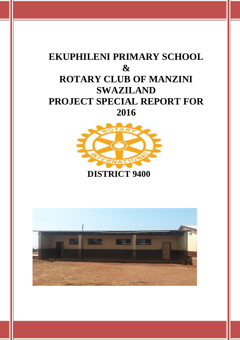# **EKUPHILENI PRIMARY SCHOOL & ROTARY CLUB OF MANZINI SWAZILAND PROJECT SPECIAL REPORT FOR 2016**



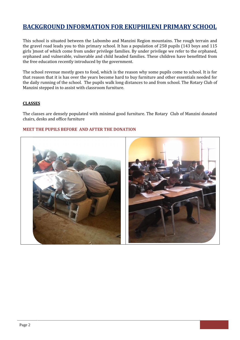## **BACKGROUND INFORMATION FOR EKUPHILENI PRIMARY SCHOOL**

This school is situated between the Lubombo and Manzini Region mountains. The rough terrain and the gravel road leads you to this primary school. It has a population of 258 pupils (143 boys and 115 girls )most of which come from under privilege families. By under privilege we refer to the orphaned, orphaned and vulnerable, vulnerable and child headed families. These children have benefitted from the free education recently introduced by the government.

The school revenue mostly goes to food, which is the reason why some pupils come to school. It is for that reason that it is has over the years become hard to buy furniture and other essentials needed for the daily running of the school. The pupils walk long distances to and from school. The Rotary Club of Manzini stepped in to assist with classroom furniture.

#### **CLASSES**

The classes are densely populated with minimal good furniture. The Rotary Club of Manzini donated chairs, desks and office furniture

#### **MEET THE PUPILS BEFORE AND AFTER THE DONATION**

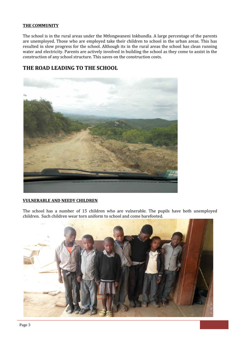#### **THE COMMUNITY**

The school is in the rural areas under the Mtfongwaneni Inkhundla. A large percentage of the parents are unemployed. Those who are employed take their children to school in the urban areas. This has resulted in slow progress for the school. Although its in the rural areas the school has clean running water and electricity. Parents are actively involved in building the school as they come to assist in the construction of any school structure. This saves on the construction costs.

## **THE ROAD LEADING TO THE SCHOOL**



#### **VULNERABLE AND NEEDY CHILDREN**

The school has a number of 15 children who are vulnerable. The pupils have both unemployed children. Such children wear torn uniform to school and come barefooted.

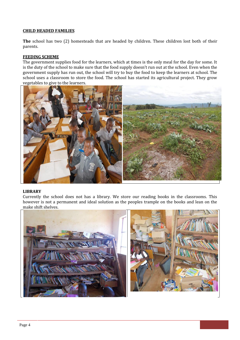#### **CHILD HEADED FAMILIES**

**The** school has two (2) homesteads that are headed by children. These children lost both of their parents.

#### **FEEDING SCHEME**

The government supplies food for the learners, which at times is the only meal for the day for some. It is the duty of the school to make sure that the food supply doesn't run out at the school. Even when the government supply has run out, the school will try to buy the food to keep the learners at school. The school uses a classroom to store the food. The school has started its agricultural project. They grow vegetables to give to the learners.



#### **LIBRARY**

Currently the school does not has a library. We store our reading books in the classrooms. This however is not a permanent and ideal solution as the peoples trample on the books and lean on the make shift shelves.

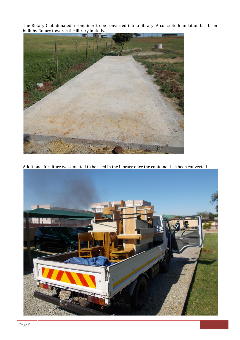The Rotary Club donated a container to be converted into a library. A concrete foundation has been built by Rotary towards the library initiative.



Additional furniture was donated to be used in the Library once the container has been converted

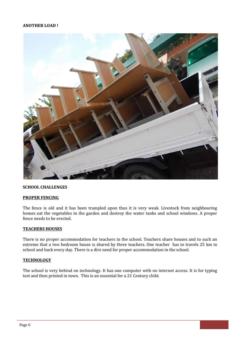#### **ANOTHER LOAD !**



#### **SCHOOL CHALLENGES**

#### **PROPER FENCING**

The fence is old and it has been trampled upon thus it is very weak. Livestock from neighbouring homes eat the vegetables in the garden and destroy the water tanks and school windows. A proper fence needs to be erected.

#### **TEACHERS HOUSES**

There is no proper accommodation for teachers in the school. Teachers share houses and to such an extreme that a two bedroom house is shared by three teachers. One teacher has to travels 25 km to school and back every day. There is a dire need for proper accommodation in the school.

#### **TECHNOLOGY**

The school is very behind on technology. It has one computer with no internet access. It is for typing test and then printed in town. This is an essential for a 21 Century child.